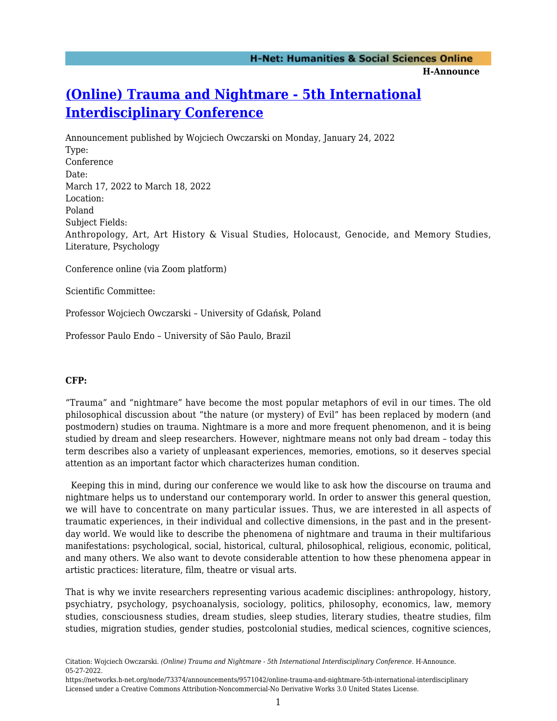# **[\(Online\) Trauma and Nightmare - 5th International](https://networks.h-net.org/node/73374/announcements/9571042/online-trauma-and-nightmare-5th-international-interdisciplinary) [Interdisciplinary Conference](https://networks.h-net.org/node/73374/announcements/9571042/online-trauma-and-nightmare-5th-international-interdisciplinary)**

Announcement published by Wojciech Owczarski on Monday, January 24, 2022 Type: Conference Date: March 17, 2022 to March 18, 2022 Location: Poland Subject Fields: Anthropology, Art, Art History & Visual Studies, Holocaust, Genocide, and Memory Studies, Literature, Psychology

Conference online (via Zoom platform)

Scientific Committee:

Professor Wojciech Owczarski – University of Gdańsk, Poland

Professor Paulo Endo – University of São Paulo, Brazil

#### **CFP:**

"Trauma" and "nightmare" have become the most popular metaphors of evil in our times. The old philosophical discussion about "the nature (or mystery) of Evil" has been replaced by modern (and postmodern) studies on trauma. Nightmare is a more and more frequent phenomenon, and it is being studied by dream and sleep researchers. However, nightmare means not only bad dream – today this term describes also a variety of unpleasant experiences, memories, emotions, so it deserves special attention as an important factor which characterizes human condition.

 Keeping this in mind, during our conference we would like to ask how the discourse on trauma and nightmare helps us to understand our contemporary world. In order to answer this general question, we will have to concentrate on many particular issues. Thus, we are interested in all aspects of traumatic experiences, in their individual and collective dimensions, in the past and in the presentday world. We would like to describe the phenomena of nightmare and trauma in their multifarious manifestations: psychological, social, historical, cultural, philosophical, religious, economic, political, and many others. We also want to devote considerable attention to how these phenomena appear in artistic practices: literature, film, theatre or visual arts.

That is why we invite researchers representing various academic disciplines: anthropology, history, psychiatry, psychology, psychoanalysis, sociology, politics, philosophy, economics, law, memory studies, consciousness studies, dream studies, sleep studies, literary studies, theatre studies, film studies, migration studies, gender studies, postcolonial studies, medical sciences, cognitive sciences,

Citation: Wojciech Owczarski. *(Online) Trauma and Nightmare - 5th International Interdisciplinary Conference*. H-Announce. 05-27-2022.

https://networks.h-net.org/node/73374/announcements/9571042/online-trauma-and-nightmare-5th-international-interdisciplinary Licensed under a Creative Commons Attribution-Noncommercial-No Derivative Works 3.0 United States License.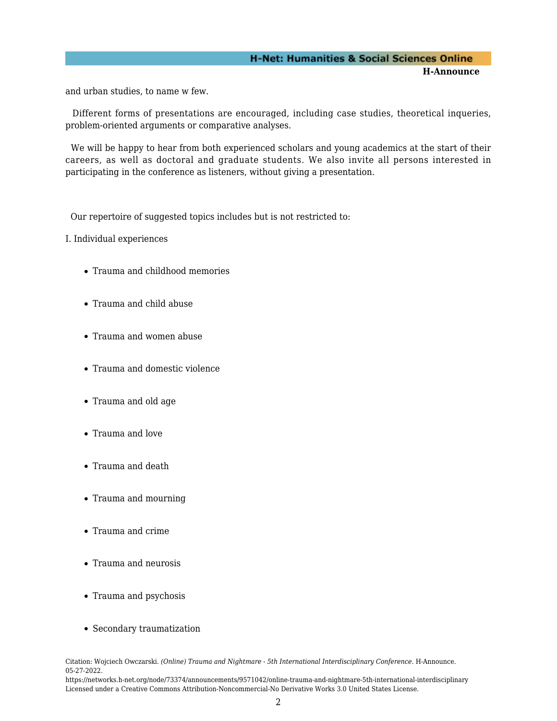### **H-Net: Humanities & Social Sciences Online H-Announce**

and urban studies, to name w few.

 Different forms of presentations are encouraged, including case studies, theoretical inqueries, problem-oriented arguments or comparative analyses.

 We will be happy to hear from both experienced scholars and young academics at the start of their careers, as well as doctoral and graduate students. We also invite all persons interested in participating in the conference as listeners, without giving a presentation.

Our repertoire of suggested topics includes but is not restricted to:

I. Individual experiences

- Trauma and childhood memories
- Trauma and child abuse
- Trauma and women abuse
- Trauma and domestic violence
- Trauma and old age
- Trauma and love
- Trauma and death
- Trauma and mourning
- Trauma and crime
- Trauma and neurosis
- Trauma and psychosis
- Secondary traumatization

Citation: Wojciech Owczarski. *(Online) Trauma and Nightmare - 5th International Interdisciplinary Conference*. H-Announce. 05-27-2022.

https://networks.h-net.org/node/73374/announcements/9571042/online-trauma-and-nightmare-5th-international-interdisciplinary Licensed under a Creative Commons Attribution-Noncommercial-No Derivative Works 3.0 United States License.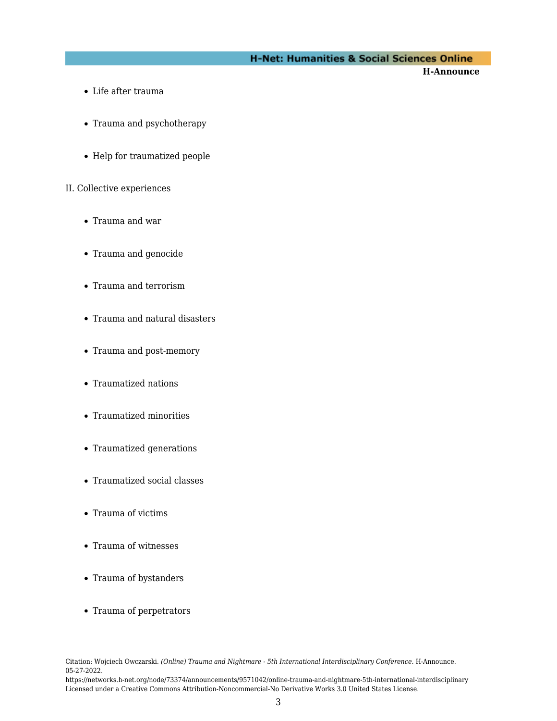**H-Announce** 

- Life after trauma
- Trauma and psychotherapy
- Help for traumatized people

#### II. Collective experiences

- Trauma and war
- Trauma and genocide
- Trauma and terrorism
- Trauma and natural disasters
- Trauma and post-memory
- Traumatized nations
- Traumatized minorities
- Traumatized generations
- Traumatized social classes
- Trauma of victims
- Trauma of witnesses
- Trauma of bystanders
- Trauma of perpetrators

Citation: Wojciech Owczarski. *(Online) Trauma and Nightmare - 5th International Interdisciplinary Conference*. H-Announce. 05-27-2022.

https://networks.h-net.org/node/73374/announcements/9571042/online-trauma-and-nightmare-5th-international-interdisciplinary Licensed under a Creative Commons Attribution-Noncommercial-No Derivative Works 3.0 United States License.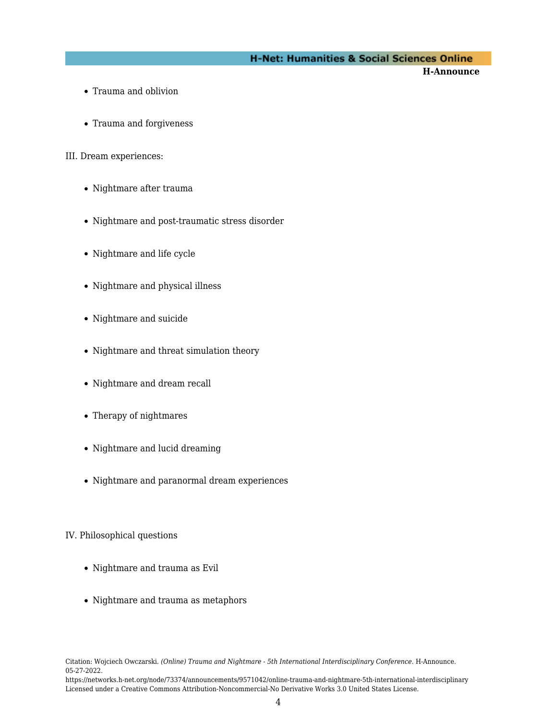**H-Announce** 

- Trauma and oblivion
- Trauma and forgiveness

III. Dream experiences:

- Nightmare after trauma
- Nightmare and post-traumatic stress disorder
- Nightmare and life cycle
- Nightmare and physical illness
- Nightmare and suicide
- Nightmare and threat simulation theory
- Nightmare and dream recall
- Therapy of nightmares
- Nightmare and lucid dreaming
- Nightmare and paranormal dream experiences

#### IV. Philosophical questions

- Nightmare and trauma as Evil
- Nightmare and trauma as metaphors

https://networks.h-net.org/node/73374/announcements/9571042/online-trauma-and-nightmare-5th-international-interdisciplinary Licensed under a Creative Commons Attribution-Noncommercial-No Derivative Works 3.0 United States License.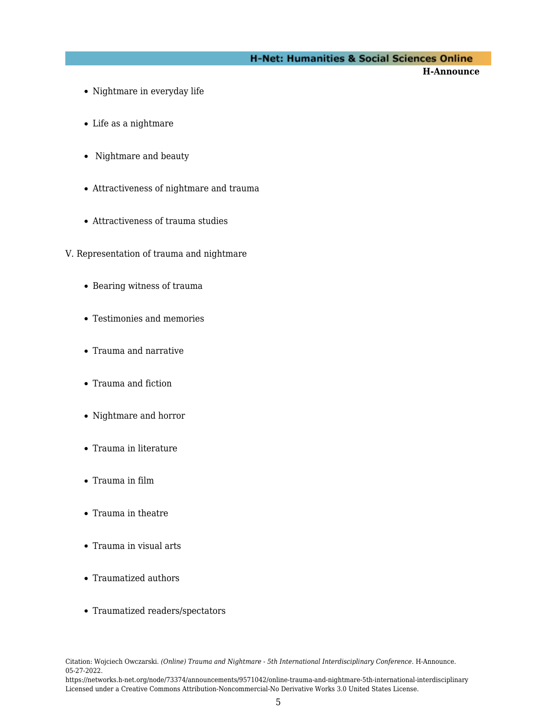**H-Announce** 

- Nightmare in everyday life
- Life as a nightmare
- Nightmare and beauty
- Attractiveness of nightmare and trauma
- Attractiveness of trauma studies
- V. Representation of trauma and nightmare
	- Bearing witness of trauma
	- Testimonies and memories
	- Trauma and narrative
	- Trauma and fiction
	- Nightmare and horror
	- Trauma in literature
	- Trauma in film
	- Trauma in theatre
	- Trauma in visual arts
	- Traumatized authors
	- Traumatized readers/spectators

Citation: Wojciech Owczarski. *(Online) Trauma and Nightmare - 5th International Interdisciplinary Conference*. H-Announce. 05-27-2022.

https://networks.h-net.org/node/73374/announcements/9571042/online-trauma-and-nightmare-5th-international-interdisciplinary Licensed under a Creative Commons Attribution-Noncommercial-No Derivative Works 3.0 United States License.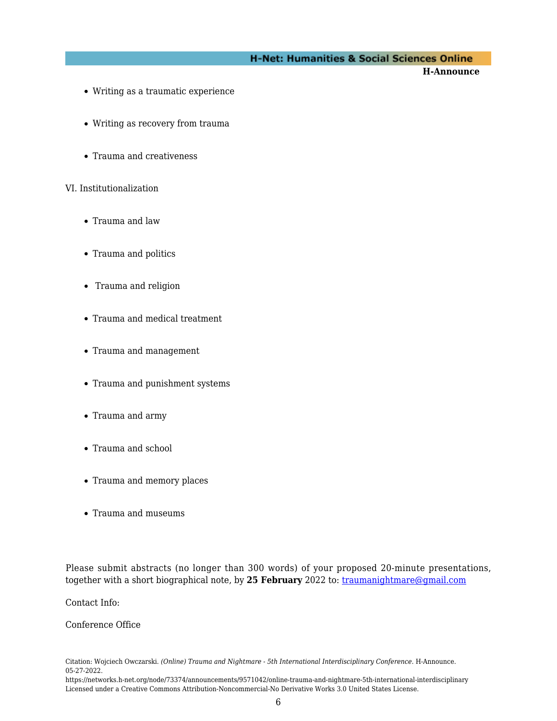**H-Announce** 

- Writing as a traumatic experience
- Writing as recovery from trauma
- Trauma and creativeness

#### VI. Institutionalization

- Trauma and law
- Trauma and politics
- Trauma and religion
- Trauma and medical treatment
- Trauma and management
- Trauma and punishment systems
- Trauma and army
- Trauma and school
- Trauma and memory places
- Trauma and museums

Please submit abstracts (no longer than 300 words) of your proposed 20-minute presentations, together with a short biographical note, by **25 February** 2022 to: [traumanightmare@gmail.com](mailto:traumanightmare@gmail.com)

Contact Info:

Conference Office

Citation: Wojciech Owczarski. *(Online) Trauma and Nightmare - 5th International Interdisciplinary Conference*. H-Announce. 05-27-2022.

https://networks.h-net.org/node/73374/announcements/9571042/online-trauma-and-nightmare-5th-international-interdisciplinary Licensed under a Creative Commons Attribution-Noncommercial-No Derivative Works 3.0 United States License.